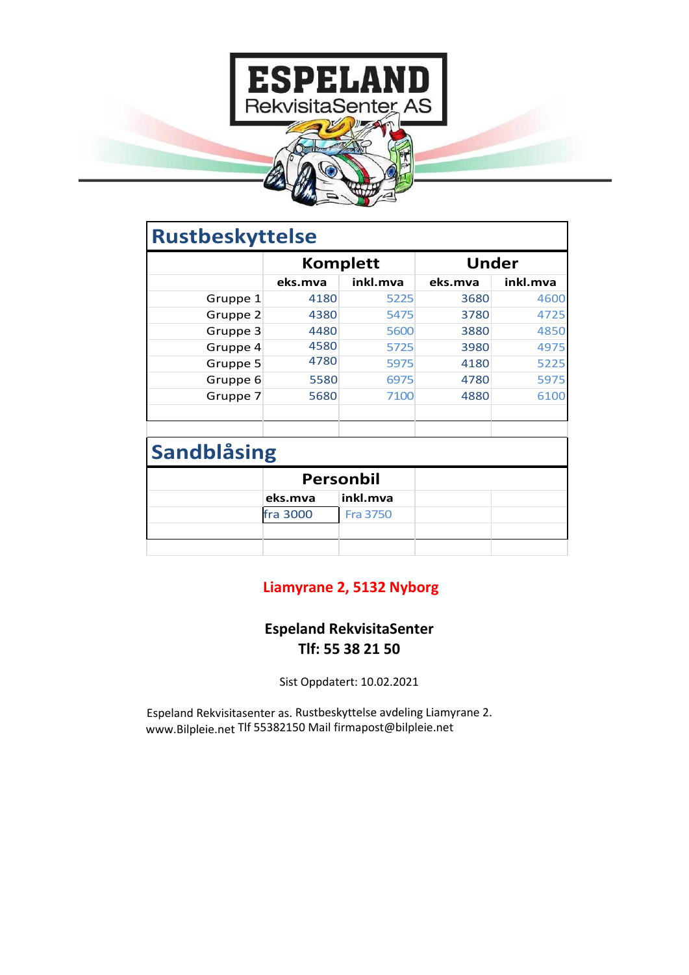

| <b>Rustbeskyttelse</b> |                  |                 |              |          |  |  |
|------------------------|------------------|-----------------|--------------|----------|--|--|
|                        | <b>Komplett</b>  |                 | <b>Under</b> |          |  |  |
|                        | eks.mva          | inkl.mva        | eks.mva      | inkl.mva |  |  |
| Gruppe 1               | 4180             | 5225            | 3680         | 4600     |  |  |
| Gruppe 2               | 4380             | 5475            | 3780         | 4725     |  |  |
| Gruppe 3               | 4480             | 5600            | 3880         | 4850     |  |  |
| Gruppe 4               | 4580             | 5725            | 3980         | 4975     |  |  |
| Gruppe 5               | 4780             | 5975            | 4180         | 5225     |  |  |
| Gruppe 6               | 5580             | 6975            | 4780         | 5975     |  |  |
| Gruppe 7               | 5680             | 7100            | 4880         | 6100     |  |  |
| <b>Sandblåsing</b>     |                  |                 |              |          |  |  |
|                        | <b>Personbil</b> |                 |              |          |  |  |
|                        | eks.mva          | inkl.mva        |              |          |  |  |
|                        | fra 3000         | <b>Fra 3750</b> |              |          |  |  |
|                        |                  |                 |              |          |  |  |

## **Liamyrane 2, 5132 Nyborg**

## **Espeland RekvisitaSenter Tlf: 55 38 21 50**

Sist Oppdatert: 10.02.2021

Espeland Rekvisitasenter as. Rustbeskyttelse avdeling Liamyrane 2. [www.Bilpleie.net](http://www.bilpleie.net/) Tlf 55382150 Mai[l firmapost@bilpleie.net](mailto:firmapost@bilpleie.net)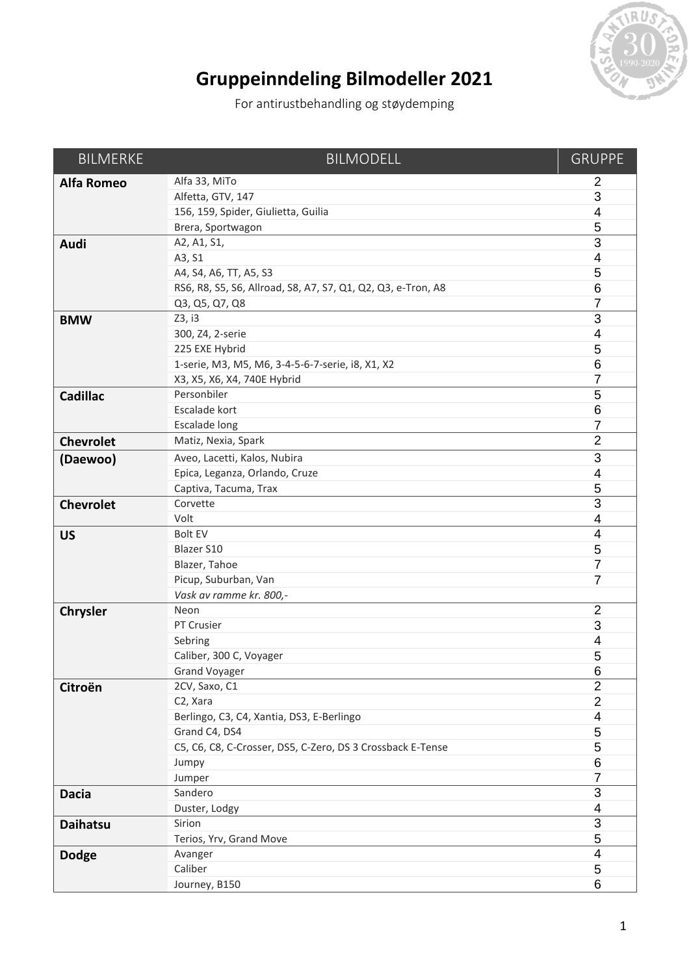

## **Gruppeinndeling Bilmodeller 2021**

For antirustbehandling og støydemping

| <b>BILMERKE</b>   | <b>BILMODELL</b>                                             | <b>GRUPPE</b>  |
|-------------------|--------------------------------------------------------------|----------------|
| <b>Alfa Romeo</b> | Alfa 33, MiTo                                                | 2              |
|                   | Alfetta, GTV, 147                                            | 3              |
|                   | 156, 159, Spider, Giulietta, Guilia                          | $\overline{4}$ |
|                   | Brera, Sportwagon                                            | 5              |
| Audi              | A2, A1, S1,                                                  | 3              |
|                   | A3, S1                                                       | $\overline{4}$ |
|                   | A4, S4, A6, TT, A5, S3                                       | 5              |
|                   | RS6, R8, S5, S6, Allroad, S8, A7, S7, Q1, Q2, Q3, e-Tron, A8 | 6              |
|                   | Q3, Q5, Q7, Q8                                               | 7              |
| <b>BMW</b>        | Z3, i3                                                       | 3              |
|                   | 300, Z4, 2-serie                                             | $\overline{4}$ |
|                   | 225 EXE Hybrid                                               | 5              |
|                   | 1-serie, M3, M5, M6, 3-4-5-6-7-serie, i8, X1, X2             | 6              |
|                   | X3, X5, X6, X4, 740E Hybrid                                  | 7              |
| <b>Cadillac</b>   | Personbiler                                                  | $\overline{5}$ |
|                   | Escalade kort                                                | 6              |
|                   | <b>Escalade long</b>                                         | 7              |
| <b>Chevrolet</b>  | Matiz, Nexia, Spark                                          | $\overline{2}$ |
| (Daewoo)          | Aveo, Lacetti, Kalos, Nubira                                 | 3              |
|                   | Epica, Leganza, Orlando, Cruze                               | 4              |
|                   | Captiva, Tacuma, Trax                                        | 5              |
| <b>Chevrolet</b>  | Corvette                                                     | 3              |
|                   | Volt                                                         | 4              |
| <b>US</b>         | <b>Bolt EV</b>                                               | $\overline{4}$ |
|                   | <b>Blazer S10</b>                                            | 5              |
|                   | Blazer, Tahoe                                                | $\overline{7}$ |
|                   | Picup, Suburban, Van                                         | 7              |
|                   | Vask av ramme kr. 800,-                                      |                |
| <b>Chrysler</b>   | Neon                                                         | $\overline{2}$ |
|                   | PT Crusier                                                   | 3              |
|                   | Sebring                                                      | 4              |
|                   | Caliber, 300 C, Voyager                                      | 5              |
|                   | <b>Grand Voyager</b>                                         | 6              |
| Citroën           | 2CV, Saxo, C1                                                | $\overline{2}$ |
|                   | C2, Xara                                                     | $\overline{2}$ |
|                   | Berlingo, C3, C4, Xantia, DS3, E-Berlingo                    | 4              |
|                   | Grand C4, DS4                                                | 5              |
|                   | C5, C6, C8, C-Crosser, DS5, C-Zero, DS 3 Crossback E-Tense   | $\mathbf 5$    |
|                   | Jumpy                                                        | $\,6$          |
|                   | Jumper                                                       | 7              |
| <b>Dacia</b>      | Sandero                                                      | 3              |
|                   | Duster, Lodgy                                                | 4              |
| <b>Daihatsu</b>   | Sirion                                                       | $\sqrt{3}$     |
|                   | Terios, Yrv, Grand Move                                      | $\mathbf 5$    |
| <b>Dodge</b>      | Avanger                                                      | $\overline{4}$ |
|                   | Caliber                                                      | 5              |
|                   | Journey, B150                                                | 6              |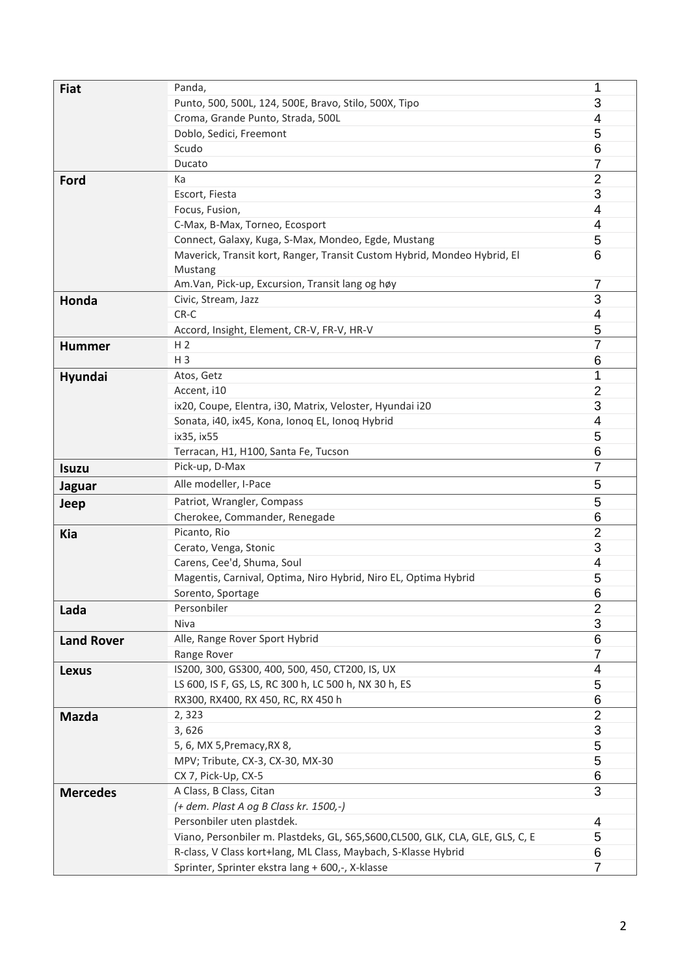| <b>Fiat</b>       | Panda,                                                                          | 1              |
|-------------------|---------------------------------------------------------------------------------|----------------|
|                   | Punto, 500, 500L, 124, 500E, Bravo, Stilo, 500X, Tipo                           | 3              |
|                   | Croma, Grande Punto, Strada, 500L                                               | 4              |
|                   | Doblo, Sedici, Freemont                                                         | 5              |
|                   | Scudo                                                                           | 6              |
|                   | Ducato                                                                          | 7              |
| Ford              | Ka                                                                              | 2              |
|                   | Escort, Fiesta                                                                  | 3              |
|                   | Focus, Fusion,                                                                  | 4              |
|                   | C-Max, B-Max, Torneo, Ecosport                                                  | 4              |
|                   | Connect, Galaxy, Kuga, S-Max, Mondeo, Egde, Mustang                             | 5              |
|                   | Maverick, Transit kort, Ranger, Transit Custom Hybrid, Mondeo Hybrid, El        | 6              |
|                   | Mustang                                                                         |                |
|                   | Am.Van, Pick-up, Excursion, Transit lang og høy                                 | 7              |
| Honda             | Civic, Stream, Jazz                                                             | 3              |
|                   | CR-C                                                                            | 4              |
|                   | Accord, Insight, Element, CR-V, FR-V, HR-V                                      | 5              |
| <b>Hummer</b>     | H <sub>2</sub>                                                                  | 7              |
|                   | $H_3$                                                                           | 6              |
| Hyundai           | Atos, Getz                                                                      | 1              |
|                   | Accent, i10                                                                     | $\overline{2}$ |
|                   | ix20, Coupe, Elentra, i30, Matrix, Veloster, Hyundai i20                        | 3              |
|                   | Sonata, i40, ix45, Kona, Ionoq EL, Ionoq Hybrid                                 | 4              |
|                   | ix35, ix55                                                                      | 5              |
|                   | Terracan, H1, H100, Santa Fe, Tucson                                            | 6              |
| <b>Isuzu</b>      | Pick-up, D-Max                                                                  | $\overline{7}$ |
| <b>Jaguar</b>     | Alle modeller, I-Pace                                                           | 5              |
| Jeep              | Patriot, Wrangler, Compass                                                      | 5              |
|                   | Cherokee, Commander, Renegade                                                   | 6              |
| Kia               | Picanto, Rio                                                                    | $\overline{2}$ |
|                   | Cerato, Venga, Stonic                                                           | 3              |
|                   | Carens, Cee'd, Shuma, Soul                                                      | 4              |
|                   | Magentis, Carnival, Optima, Niro Hybrid, Niro EL, Optima Hybrid                 | 5              |
|                   | Sorento, Sportage                                                               | 6              |
| Lada              | Personbiler                                                                     | $\overline{2}$ |
|                   | Niva                                                                            | 3              |
| <b>Land Rover</b> | Alle, Range Rover Sport Hybrid                                                  | 6              |
|                   | Range Rover                                                                     | 7              |
| <b>Lexus</b>      | IS200, 300, GS300, 400, 500, 450, CT200, IS, UX                                 | 4              |
|                   | LS 600, IS F, GS, LS, RC 300 h, LC 500 h, NX 30 h, ES                           | 5              |
|                   | RX300, RX400, RX 450, RC, RX 450 h                                              | 6              |
| <b>Mazda</b>      | 2,323                                                                           | $\overline{2}$ |
|                   | 3,626                                                                           | 3              |
|                   | 5, 6, MX 5, Premacy, RX 8,                                                      | 5              |
|                   | MPV; Tribute, CX-3, CX-30, MX-30                                                | 5              |
|                   | CX 7, Pick-Up, CX-5                                                             | 6              |
| <b>Mercedes</b>   | A Class, B Class, Citan                                                         | 3              |
|                   | (+ dem. Plast A og B Class kr. 1500,-)                                          |                |
|                   | Personbiler uten plastdek.                                                      | 4              |
|                   | Viano, Personbiler m. Plastdeks, GL, S65, S600, CL500, GLK, CLA, GLE, GLS, C, E | 5              |
|                   | R-class, V Class kort+lang, ML Class, Maybach, S-Klasse Hybrid                  | 6              |
|                   | Sprinter, Sprinter ekstra lang + 600,-, X-klasse                                | 7              |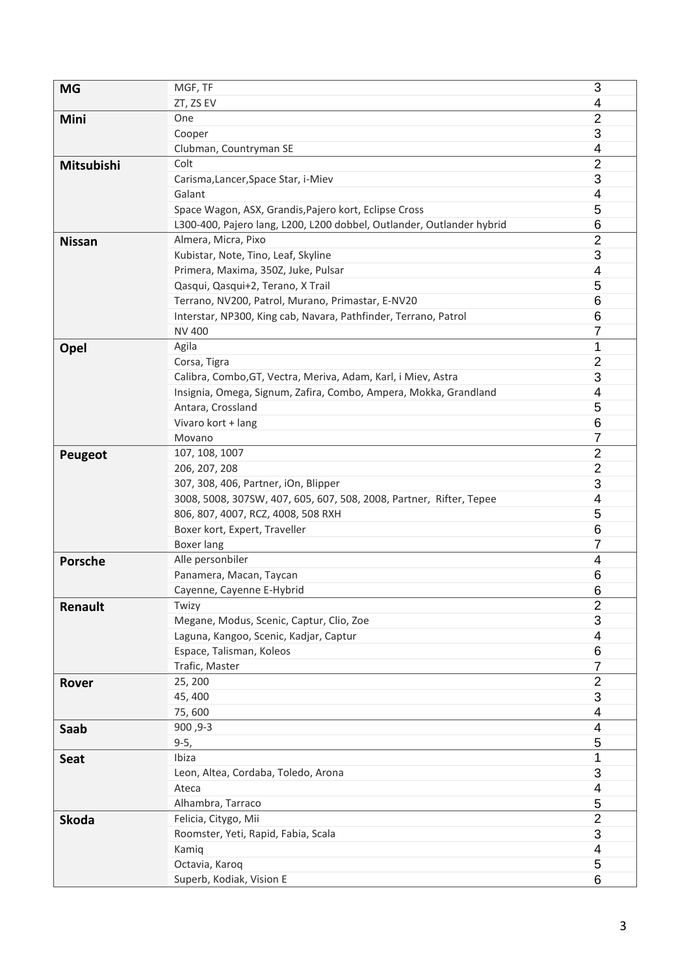| <b>MG</b>      | MGF, TF                                                               | 3              |
|----------------|-----------------------------------------------------------------------|----------------|
|                | ZT, ZS EV                                                             | 4              |
| Mini           | One                                                                   | $\overline{2}$ |
|                | Cooper                                                                | 3              |
|                | Clubman, Countryman SE                                                | 4              |
| Mitsubishi     | Colt                                                                  | $\overline{2}$ |
|                | Carisma, Lancer, Space Star, i-Miev                                   | 3              |
|                | Galant                                                                | 4              |
|                | Space Wagon, ASX, Grandis, Pajero kort, Eclipse Cross                 | 5              |
|                | L300-400, Pajero lang, L200, L200 dobbel, Outlander, Outlander hybrid | 6              |
| <b>Nissan</b>  | Almera, Micra, Pixo                                                   | $\overline{2}$ |
|                | Kubistar, Note, Tino, Leaf, Skyline                                   | 3              |
|                | Primera, Maxima, 350Z, Juke, Pulsar                                   | 4              |
|                | Qasqui, Qasqui+2, Terano, X Trail                                     | 5              |
|                | Terrano, NV200, Patrol, Murano, Primastar, E-NV20                     | 6              |
|                | Interstar, NP300, King cab, Navara, Pathfinder, Terrano, Patrol       | 6              |
|                | <b>NV 400</b>                                                         | 7              |
| Opel           | Agila                                                                 | 1              |
|                | Corsa, Tigra                                                          | $\overline{2}$ |
|                | Calibra, Combo, GT, Vectra, Meriva, Adam, Karl, i Miev, Astra         | 3              |
|                | Insignia, Omega, Signum, Zafira, Combo, Ampera, Mokka, Grandland      | 4              |
|                | Antara, Crossland                                                     | 5              |
|                | Vivaro kort + lang                                                    | 6              |
|                | Movano                                                                | 7              |
|                | 107, 108, 1007                                                        | $\overline{2}$ |
| Peugeot        | 206, 207, 208                                                         | $\overline{2}$ |
|                | 307, 308, 406, Partner, iOn, Blipper                                  | 3              |
|                | 3008, 5008, 307SW, 407, 605, 607, 508, 2008, Partner, Rifter, Tepee   | 4              |
|                | 806, 807, 4007, RCZ, 4008, 508 RXH                                    | 5              |
|                | Boxer kort, Expert, Traveller                                         | 6              |
|                | <b>Boxer lang</b>                                                     | 7              |
| <b>Porsche</b> | Alle personbiler                                                      | 4              |
|                | Panamera, Macan, Taycan                                               | 6              |
|                | Cayenne, Cayenne E-Hybrid                                             | 6              |
| Renault        | Twizy                                                                 | $\overline{2}$ |
|                | Megane, Modus, Scenic, Captur, Clio, Zoe                              | 3              |
|                | Laguna, Kangoo, Scenic, Kadjar, Captur                                | 4              |
|                | Espace, Talisman, Koleos                                              | 6              |
|                | Trafic, Master                                                        | $\overline{7}$ |
| Rover          | 25, 200                                                               | $\overline{2}$ |
|                | 45, 400                                                               | 3              |
|                | 75,600                                                                | 4              |
| Saab           | 900, 9-3                                                              | 4              |
|                | $9-5,$                                                                | 5              |
| <b>Seat</b>    | Ibiza                                                                 | 1              |
|                | Leon, Altea, Cordaba, Toledo, Arona                                   | 3              |
|                | Ateca                                                                 | 4              |
|                | Alhambra, Tarraco                                                     | 5              |
| <b>Skoda</b>   | Felicia, Citygo, Mii                                                  | $\overline{2}$ |
|                | Roomster, Yeti, Rapid, Fabia, Scala                                   | 3              |
|                | Kamiq                                                                 | 4              |
|                | Octavia, Karoq                                                        | 5              |
|                | Superb, Kodiak, Vision E                                              | 6              |